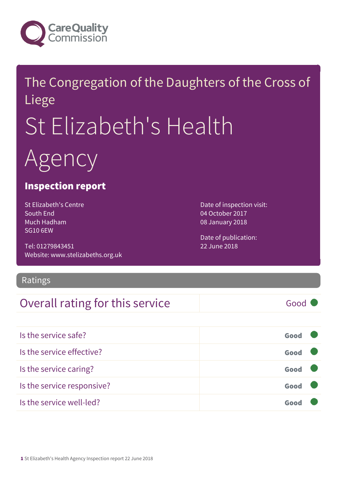

## The Congregation of the Daughters of the Cross of Liege St Elizabeth's Health Agency

#### Inspection report

St Elizabeth's Centre South End Much Hadham SG10 6EW

Tel: 01279843451 Website: www.stelizabeths.org.uk Date of inspection visit: 04 October 2017 08 January 2018

Date of publication: 22 June 2018

#### Ratings

### Overall rating for this service and a service of the Good

| Is the service safe?       | Good |  |
|----------------------------|------|--|
| Is the service effective?  | Good |  |
| Is the service caring?     | Good |  |
| Is the service responsive? | Good |  |
| Is the service well-led?   |      |  |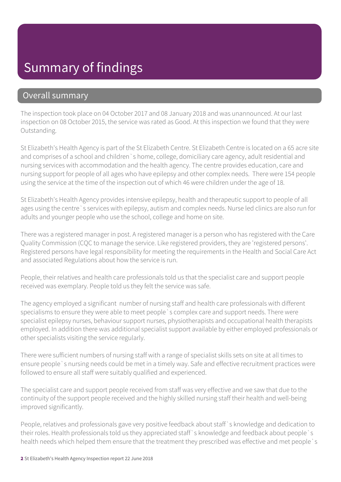### Summary of findings

#### Overall summary

The inspection took place on 04 October 2017 and 08 January 2018 and was unannounced. At our last inspection on 08 October 2015, the service was rated as Good. At this inspection we found that they were Outstanding.

St Elizabeth's Health Agency is part of the St Elizabeth Centre. St Elizabeth Centre is located on a 65 acre site and comprises of a school and children`s home, college, domiciliary care agency, adult residential and nursing services with accommodation and the health agency. The centre provides education, care and nursing support for people of all ages who have epilepsy and other complex needs. There were 154 people using the service at the time of the inspection out of which 46 were children under the age of 18.

St Elizabeth's Health Agency provides intensive epilepsy, health and therapeutic support to people of all ages using the centre `s services with epilepsy, autism and complex needs. Nurse led clinics are also run for adults and younger people who use the school, college and home on site.

There was a registered manager in post. A registered manager is a person who has registered with the Care Quality Commission (CQC to manage the service. Like registered providers, they are 'registered persons'. Registered persons have legal responsibility for meeting the requirements in the Health and Social Care Act and associated Regulations about how the service is run.

People, their relatives and health care professionals told us that the specialist care and support people received was exemplary. People told us they felt the service was safe.

The agency employed a significant number of nursing staff and health care professionals with different specialisms to ensure they were able to meet people`s complex care and support needs. There were specialist epilepsy nurses, behaviour support nurses, physiotherapists and occupational health therapists employed. In addition there was additional specialist support available by either employed professionals or other specialists visiting the service regularly.

There were sufficient numbers of nursing staff with a range of specialist skills sets on site at all times to ensure people`s nursing needs could be met in a timely way. Safe and effective recruitment practices were followed to ensure all staff were suitably qualified and experienced.

The specialist care and support people received from staff was very effective and we saw that due to the continuity of the support people received and the highly skilled nursing staff their health and well-being improved significantly.

People, relatives and professionals gave very positive feedback about staff`s knowledge and dedication to their roles. Health professionals told us they appreciated staff`s knowledge and feedback about people`s health needs which helped them ensure that the treatment they prescribed was effective and met people`s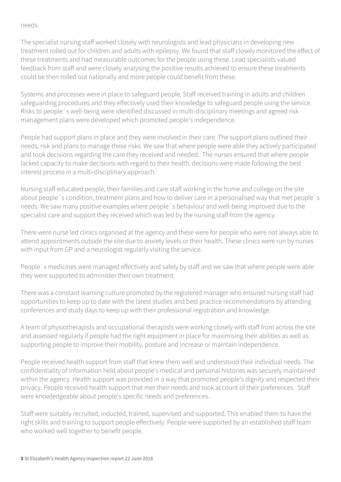#### needs.

The specialist nursing staff worked closely with neurologists and lead physicians in developing new treatment rolled out for children and adults with epilepsy. We found that staff closely monitored the effect of these treatments and had measurable outcomes for the people using these. Lead specialists valued feedback from staff and were closely analysing the positive results achieved to ensure these treatments could be then rolled out nationally and more people could benefit from these.

Systems and processes were in place to safeguard people. Staff received training in adults and children safeguarding procedures and they effectively used their knowledge to safeguard people using the service. Risks to people`s well-being were identified discussed in multi-disciplinary meetings and agreed risk management plans were developed which promoted people's independence.

People had support plans in place and they were involved in their care. The support plans outlined their needs, risk and plans to manage these risks. We saw that where people were able they actively participated and took decisions regarding the care they received and needed. The nurses ensured that where people lacked capacity to make decisions with regard to their health, decisions were made following the best interest process in a multi-disciplinary approach.

Nursing staff educated people, their families and care staff working in the home and college on the site about people`s condition, treatment plans and how to deliver care in a personalised way that met people`s needs. We saw many positive examples where people`s behaviour and well-being improved due to the specialist care and support they received which was led by the nursing staff from the agency.

There were nurse led clinics organised at the agency and these were for people who were not always able to attend appointments outside the site due to anxiety levels or their health. These clinics were run by nurses with input from GP and a neurologist regularly visiting the service.

People`s medicines were managed effectively and safely by staff and we saw that where people were able they were supported to administer their own treatment.

There was a constant learning culture promoted by the registered manager who ensured nursing staff had opportunities to keep up to date with the latest studies and best practice recommendations by attending conferences and study days to keep up with their professional registration and knowledge.

A team of physiotherapists and occupational therapists were working closely with staff from across the site and assessed regularly if people had the right equipment in place for maximising their abilities as well as supporting people to improve their mobility, posture and increase or maintain independence.

People received health support from staff that knew them well and understood their individual needs. The confidentiality of information held about people's medical and personal histories was securely maintained within the agency. Health support was provided in a way that promoted people's dignity and respected their privacy. People received health support that met their needs and took account of their preferences. Staff were knowledgeable about people's specific needs and preferences.

Staff were suitably recruited, inducted, trained, supervised and supported. This enabled them to have the right skills and training to support people effectively. People were supported by an established staff team who worked well together to benefit people.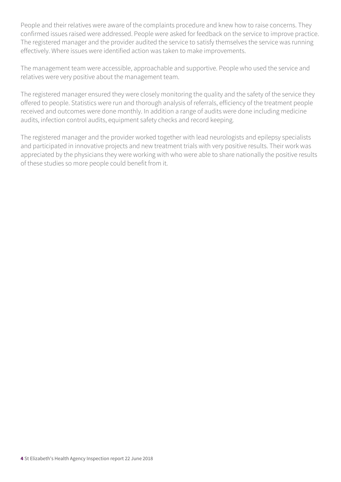People and their relatives were aware of the complaints procedure and knew how to raise concerns. They confirmed issues raised were addressed. People were asked for feedback on the service to improve practice. The registered manager and the provider audited the service to satisfy themselves the service was running effectively. Where issues were identified action was taken to make improvements.

The management team were accessible, approachable and supportive. People who used the service and relatives were very positive about the management team.

The registered manager ensured they were closely monitoring the quality and the safety of the service they offered to people. Statistics were run and thorough analysis of referrals, efficiency of the treatment people received and outcomes were done monthly. In addition a range of audits were done including medicine audits, infection control audits, equipment safety checks and record keeping.

The registered manager and the provider worked together with lead neurologists and epilepsy specialists and participated in innovative projects and new treatment trials with very positive results. Their work was appreciated by the physicians they were working with who were able to share nationally the positive results of these studies so more people could benefit from it.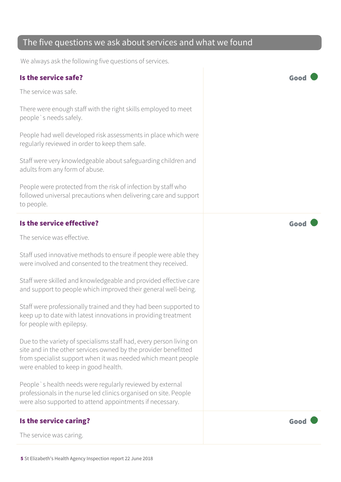#### The five questions we ask about services and what we found

We always ask the following five questions of services.

#### Is the service safe? Good

The service was safe.

There were enough staff with the right skills employed to meet people`s needs safely.

People had well developed risk assessments in place which were regularly reviewed in order to keep them safe.

Staff were very knowledgeable about safeguarding children and adults from any form of abuse.

People were protected from the risk of infection by staff who followed universal precautions when delivering care and support to people.

#### Is the service effective? Good

The service was effective.

Staff used innovative methods to ensure if people were able they were involved and consented to the treatment they received.

Staff were skilled and knowledgeable and provided effective care and support to people which improved their general well-being.

Staff were professionally trained and they had been supported to keep up to date with latest innovations in providing treatment for people with epilepsy.

Due to the variety of specialisms staff had, every person living on site and in the other services owned by the provider benefitted from specialist support when it was needed which meant people were enabled to keep in good health.

People`s health needs were regularly reviewed by external professionals in the nurse led clinics organised on site. People were also supported to attend appointments if necessary.

#### Is the service caring? Good Contract the service caring?

The service was caring.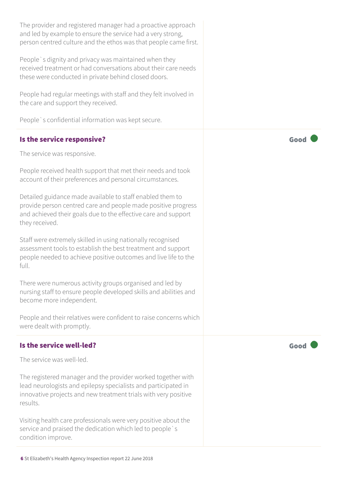The provider and registered manager had a proactive approach and led by example to ensure the service had a very strong, person centred culture and the ethos was that people came first.

People`s dignity and privacy was maintained when they received treatment or had conversations about their care needs these were conducted in private behind closed doors.

People had regular meetings with staff and they felt involved in the care and support they received.

People`s confidential information was kept secure.

#### Is the service responsive?  $\blacksquare$

The service was responsive.

People received health support that met their needs and took account of their preferences and personal circumstances.

Detailed guidance made available to staff enabled them to provide person centred care and people made positive progress and achieved their goals due to the effective care and support they received.

Staff were extremely skilled in using nationally recognised assessment tools to establish the best treatment and support people needed to achieve positive outcomes and live life to the full.

There were numerous activity groups organised and led by nursing staff to ensure people developed skills and abilities and become more independent.

People and their relatives were confident to raise concerns which were dealt with promptly.

#### Is the service well-led?  $\Box$  Good  $\Box$  Good  $\Box$

The service was well-led.

The registered manager and the provider worked together with lead neurologists and epilepsy specialists and participated in innovative projects and new treatment trials with very positive results.

Visiting health care professionals were very positive about the service and praised the dedication which led to people`s condition improve.

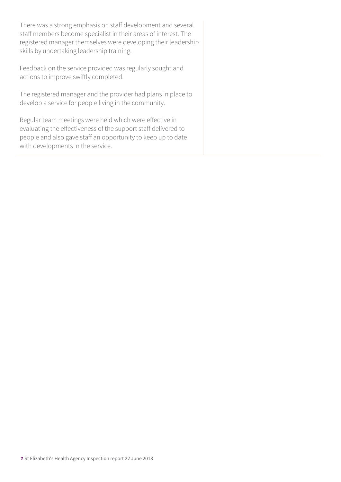There was a strong emphasis on staff development and several staff members become specialist in their areas of interest. The registered manager themselves were developing their leadership skills by undertaking leadership training.

Feedback on the service provided was regularly sought and actions to improve swiftly completed.

The registered manager and the provider had plans in place to develop a service for people living in the community.

Regular team meetings were held which were effective in evaluating the effectiveness of the support staff delivered to people and also gave staff an opportunity to keep up to date with developments in the service.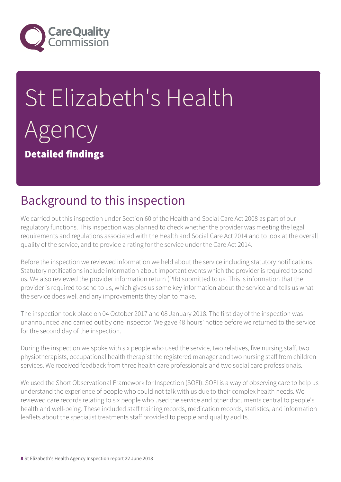

# St Elizabeth's Health Agency Detailed findings

### Background to this inspection

We carried out this inspection under Section 60 of the Health and Social Care Act 2008 as part of our regulatory functions. This inspection was planned to check whether the provider was meeting the legal requirements and regulations associated with the Health and Social Care Act 2014 and to look at the overall quality of the service, and to provide a rating for the service under the Care Act 2014.

Before the inspection we reviewed information we held about the service including statutory notifications. Statutory notifications include information about important events which the provider is required to send us. We also reviewed the provider information return (PIR) submitted to us. This is information that the provider is required to send to us, which gives us some key information about the service and tells us what the service does well and any improvements they plan to make.

The inspection took place on 04 October 2017 and 08 January 2018. The first day of the inspection was unannounced and carried out by one inspector. We gave 48 hours' notice before we returned to the service for the second day of the inspection.

During the inspection we spoke with six people who used the service, two relatives, five nursing staff, two physiotherapists, occupational health therapist the registered manager and two nursing staff from children services. We received feedback from three health care professionals and two social care professionals.

We used the Short Observational Framework for Inspection (SOFI). SOFI is a way of observing care to help us understand the experience of people who could not talk with us due to their complex health needs. We reviewed care records relating to six people who used the service and other documents central to people's health and well-being. These included staff training records, medication records, statistics, and information leaflets about the specialist treatments staff provided to people and quality audits.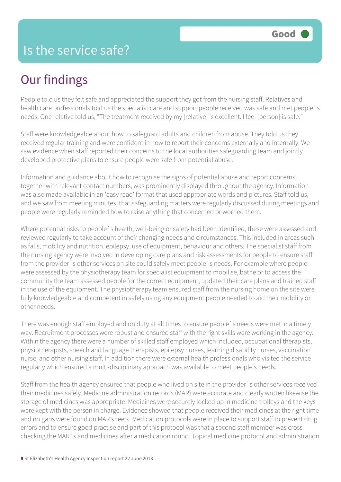## Our findings

People told us they felt safe and appreciated the support they got from the nursing staff. Relatives and health care professionals told us the specialist care and support people received was safe and met people`s needs. One relative told us, "The treatment received by my [relative] is excellent. I feel [person] is safe."

Staff were knowledgeable about how to safeguard adults and children from abuse. They told us they received regular training and were confident in how to report their concerns externally and internally. We saw evidence when staff reported their concerns to the local authorities safeguarding team and jointly developed protective plans to ensure people were safe from potential abuse.

Information and guidance about how to recognise the signs of potential abuse and report concerns, together with relevant contact numbers, was prominently displayed throughout the agency. Information was also made available in an 'easy read' format that used appropriate words and pictures. Staff told us, and we saw from meeting minutes, that safeguarding matters were regularly discussed during meetings and people were regularly reminded how to raise anything that concerned or worried them.

Where potential risks to people`s health, well-being or safety had been identified, these were assessed and reviewed regularly to take account of their changing needs and circumstances. This included in areas such as falls, mobility and nutrition, epilepsy, use of equipment, behaviour and others. The specialist staff from the nursing agency were involved in developing care plans and risk assessments for people to ensure staff from the provider`s other services on site could safely meet people`s needs. For example where people were assessed by the physiotherapy team for specialist equipment to mobilise, bathe or to access the community the team assessed people for the correct equipment, updated their care plans and trained staff in the use of the equipment. The physiotherapy team ensured staff from the nursing home on the site were fully knowledgeable and competent in safely using any equipment people needed to aid their mobility or other needs.

There was enough staff employed and on duty at all times to ensure people`s needs were met in a timely way. Recruitment processes were robust and ensured staff with the right skills were working in the agency. Within the agency there were a number of skilled staff employed which included, occupational therapists, physiotherapists, speech and language therapists, epilepsy nurses, learning disability nurses, vaccination nurse, and other nursing staff. In addition there were external health professionals who visited the service regularly which ensured a multi-disciplinary approach was available to meet people's needs.

Staff from the health agency ensured that people who lived on site in the provider`s other services received their medicines safely. Medicine administration records (MAR) were accurate and clearly written likewise the storage of medicines was appropriate. Medicines were securely locked up in medicine trolleys and the keys were kept with the person in charge. Evidence showed that people received their medicines at the right time and no gaps were found on MAR sheets. Medication protocols were in place to support staff to prevent drug errors and to ensure good practise and part of this protocol was that a second staff member was cross checking the MAR`s and medicines after a medication round. Topical medicine protocol and administration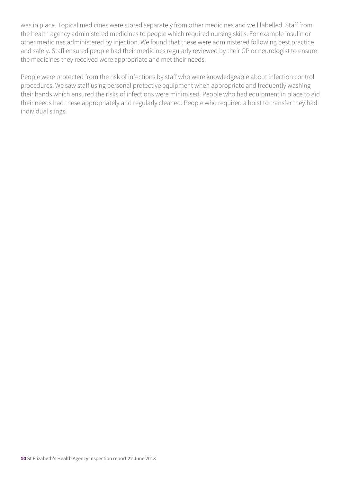was in place. Topical medicines were stored separately from other medicines and well labelled. Staff from the health agency administered medicines to people which required nursing skills. For example insulin or other medicines administered by injection. We found that these were administered following best practice and safely. Staff ensured people had their medicines regularly reviewed by their GP or neurologist to ensure the medicines they received were appropriate and met their needs.

People were protected from the risk of infections by staff who were knowledgeable about infection control procedures. We saw staff using personal protective equipment when appropriate and frequently washing their hands which ensured the risks of infections were minimised. People who had equipment in place to aid their needs had these appropriately and regularly cleaned. People who required a hoist to transfer they had individual slings.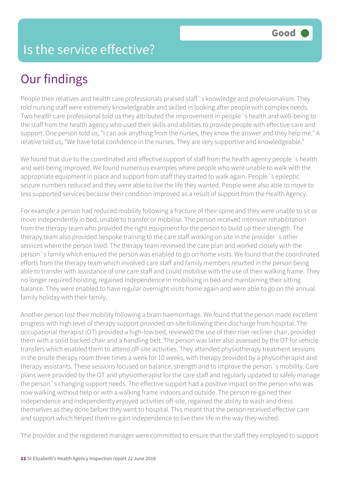### Is the service effective?

### Our findings

People their relatives and health care professionals praised staff`s knowledge and professionalism. They told nursing staff were extremely knowledgeable and skilled in looking after people with complex needs. Two health care professional told us they attributed the improvement in people`s health and well-being to the staff from the health agency who used their skills and abilities to provide people with effective care and support. One person told us, "I can ask anything from the nurses, they know the answer and they help me." A relative told us, "We have total confidence in the nurses. They are very supportive and knowledgeable."

We found that due to the coordinated and effective support of staff from the health agency people `s health and well-being improved. We found numerous examples where people who were unable to walk with the appropriate equipment in place and support from staff they started to walk again. People`s epileptic seizure numbers reduced and they were able to live the life they wanted. People were also able to move to less supported services because their condition improved as a result of support from the Health Agency.

For example a person had reduced mobility following a fracture of their spine and they were unable to sit or move independently in bed, unable to transfer or mobilise. The person received intensive rehabilitation from the therapy team who provided the right equipment for the person to build up their strength. The therapy team also provided bespoke training to the care staff working on site in the provider`s other services where the person lived. The therapy team reviewed the care plan and worked closely with the person`s family which ensured the person was enabled to go on home visits. We found that the coordinated efforts from the therapy team which involved care staff and family members resulted in the person being able to transfer with assistance of one care staff and could mobilise with the use of their walking frame. They no longer required hoisting, regained independence in mobilising in bed and maintaining their sitting balance. They were enabled to have regular overnight visits home again and were able to go on the annual family holiday with their family.

Another person lost their mobility following a brain haemorrhage. We found that the person made excellent progress with high level of therapy support provided on-site following their discharge from hospital. The occupational therapist (OT) provided a high-low bed, reviewed the use of their riser recliner chair, provided them with a solid backed chair and a handling belt. The person was later also assessed by the OT for vehicle transfers which enabled them to attend off-site activities. They attended physiotherapy treatment sessions in the onsite therapy room three times a week for 10 weeks, with therapy provided by a physiotherapist and therapy assistants. These sessions focused on balance, strength and to improve the person`s mobility. Care plans were provided by the OT and physiotherapist for the care staff and regularly updated to safely manage the person`s changing support needs. The effective support had a positive impact on the person who was now walking without help or with a walking frame indoors and outside. The person re-gained their independence and independently enjoyed activities off-site, regained the ability to wash and dress themselves as they done before they went to hospital. This meant that the person received effective care and support which helped them re-gain independence to live their life in the way they wished.

The provider and the registered manager were committed to ensure that the staff they employed to support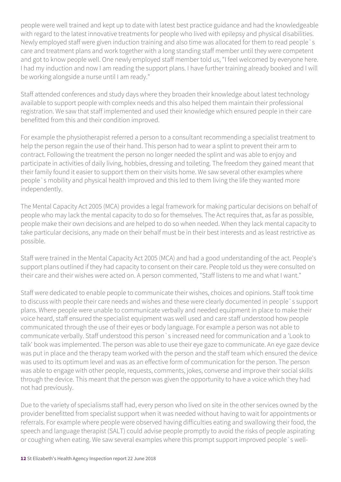people were well trained and kept up to date with latest best practice guidance and had the knowledgeable with regard to the latest innovative treatments for people who lived with epilepsy and physical disabilities. Newly employed staff were given induction training and also time was allocated for them to read people`s care and treatment plans and work together with a long standing staff member until they were competent and got to know people well. One newly employed staff member told us, "I feel welcomed by everyone here. I had my induction and now I am reading the support plans. I have further training already booked and I will be working alongside a nurse until I am ready."

Staff attended conferences and study days where they broaden their knowledge about latest technology available to support people with complex needs and this also helped them maintain their professional registration. We saw that staff implemented and used their knowledge which ensured people in their care benefitted from this and their condition improved.

For example the physiotherapist referred a person to a consultant recommending a specialist treatment to help the person regain the use of their hand. This person had to wear a splint to prevent their arm to contract. Following the treatment the person no longer needed the splint and was able to enjoy and participate in activities of daily living, hobbies, dressing and toileting. The freedom they gained meant that their family found it easier to support them on their visits home. We saw several other examples where people`s mobility and physical health improved and this led to them living the life they wanted more independently.

The Mental Capacity Act 2005 (MCA) provides a legal framework for making particular decisions on behalf of people who may lack the mental capacity to do so for themselves. The Act requires that, as far as possible, people make their own decisions and are helped to do so when needed. When they lack mental capacity to take particular decisions, any made on their behalf must be in their best interests and as least restrictive as possible.

Staff were trained in the Mental Capacity Act 2005 (MCA) and had a good understanding of the act. People's support plans outlined if they had capacity to consent on their care. People told us they were consulted on their care and their wishes were acted on. A person commented, "Staff listens to me and what I want."

Staff were dedicated to enable people to communicate their wishes, choices and opinions. Staff took time to discuss with people their care needs and wishes and these were clearly documented in people`s support plans. Where people were unable to communicate verbally and needed equipment in place to make their voice heard, staff ensured the specialist equipment was well used and care staff understood how people communicated through the use of their eyes or body language. For example a person was not able to communicate verbally. Staff understood this person`s increased need for communication and a 'Look to talk' book was implemented. The person was able to use their eye gaze to communicate. An eye gaze device was put in place and the therapy team worked with the person and the staff team which ensured the device was used to its optimum level and was as an effective form of communication for the person. The person was able to engage with other people, requests, comments, jokes, converse and improve their social skills through the device. This meant that the person was given the opportunity to have a voice which they had not had previously.

Due to the variety of specialisms staff had, every person who lived on site in the other services owned by the provider benefitted from specialist support when it was needed without having to wait for appointments or referrals. For example where people were observed having difficulties eating and swallowing their food, the speech and language therapist (SALT) could advise people promptly to avoid the risks of people aspirating or coughing when eating. We saw several examples where this prompt support improved people`s well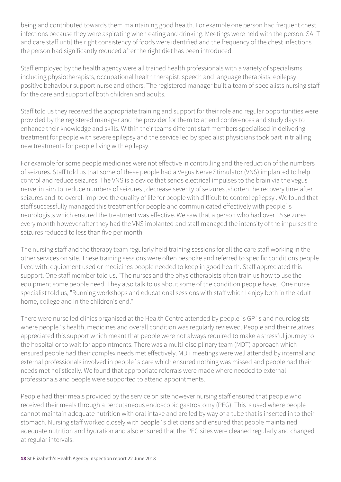being and contributed towards them maintaining good health. For example one person had frequent chest infections because they were aspirating when eating and drinking. Meetings were held with the person, SALT and care staff until the right consistency of foods were identified and the frequency of the chest infections the person had significantly reduced after the right diet has been introduced.

Staff employed by the health agency were all trained health professionals with a variety of specialisms including physiotherapists, occupational health therapist, speech and language therapists, epilepsy, positive behaviour support nurse and others. The registered manager built a team of specialists nursing staff for the care and support of both children and adults.

Staff told us they received the appropriate training and support for their role and regular opportunities were provided by the registered manager and the provider for them to attend conferences and study days to enhance their knowledge and skills. Within their teams different staff members specialised in delivering treatment for people with severe epilepsy and the service led by specialist physicians took part in trialling new treatments for people living with epilepsy.

For example for some people medicines were not effective in controlling and the reduction of the numbers of seizures. Staff told us that some of these people had a Vegus Nerve Stimulator (VNS) implanted to help control and reduce seizures. The VNS is a device that sends electrical impulses to the brain via the vegus nerve in aim to reduce numbers of seizures , decrease severity of seizures ,shorten the recovery time after seizures and to overall improve the quality of life for people with difficult to control epilepsy . We found that staff successfully managed this treatment for people and communicated effectively with people`s neurologists which ensured the treatment was effective. We saw that a person who had over 15 seizures every month however after they had the VNS implanted and staff managed the intensity of the impulses the seizures reduced to less than five per month.

The nursing staff and the therapy team regularly held training sessions for all the care staff working in the other services on site. These training sessions were often bespoke and referred to specific conditions people lived with, equipment used or medicines people needed to keep in good health. Staff appreciated this support. One staff member told us, "The nurses and the physiotherapists often train us how to use the equipment some people need. They also talk to us about some of the condition people have." One nurse specialist told us, "Running workshops and educational sessions with staff which I enjoy both in the adult home, college and in the children's end."

There were nurse led clinics organised at the Health Centre attended by people`s GP`s and neurologists where people`s health, medicines and overall condition was regularly reviewed. People and their relatives appreciated this support which meant that people were not always required to make a stressful journey to the hospital or to wait for appointments. There was a multi-disciplinary team (MDT) approach which ensured people had their complex needs met effectively. MDT meetings were well attended by internal and external professionals involved in people`s care which ensured nothing was missed and people had their needs met holistically. We found that appropriate referrals were made where needed to external professionals and people were supported to attend appointments.

People had their meals provided by the service on site however nursing staff ensured that people who received their meals through a percutaneous endoscopic gastrostomy (PEG). This is used where people cannot maintain adequate nutrition with oral intake and are fed by way of a tube that is inserted in to their stomach. Nursing staff worked closely with people`s dieticians and ensured that people maintained adequate nutrition and hydration and also ensured that the PEG sites were cleaned regularly and changed at regular intervals.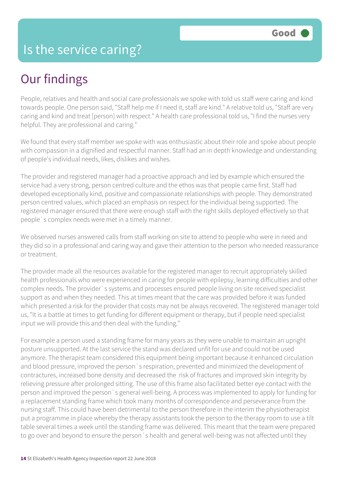## Our findings

People, relatives and health and social care professionals we spoke with told us staff were caring and kind towards people. One person said, "Staff help me if I need it, staff are kind." A relative told us, "Staff are very caring and kind and treat [person] with respect." A health care professional told us, "I find the nurses very helpful. They are professional and caring."

We found that every staff member we spoke with was enthusiastic about their role and spoke about people with compassion in a dignified and respectful manner. Staff had an in depth knowledge and understanding of people's individual needs, likes, dislikes and wishes.

The provider and registered manager had a proactive approach and led by example which ensured the service had a very strong, person centred culture and the ethos was that people came first. Staff had developed exceptionally kind, positive and compassionate relationships with people. They demonstrated person centred values, which placed an emphasis on respect for the individual being supported. The registered manager ensured that there were enough staff with the right skills deployed effectively so that people`s complex needs were met in a timely manner.

We observed nurses answered calls from staff working on site to attend to people who were in need and they did so in a professional and caring way and gave their attention to the person who needed reassurance or treatment.

The provider made all the resources available for the registered manager to recruit appropriately skilled health professionals who were experienced in caring for people with epilepsy, learning difficulties and other complex needs. The provider`s systems and processes ensured people living on site received specialist support as and when they needed. This at times meant that the care was provided before it was funded which presented a risk for the provider that costs may not be always recovered. The registered manager told us, "It is a battle at times to get funding for different equipment or therapy, but if people need specialist input we will provide this and then deal with the funding."

For example a person used a standing frame for many years as they were unable to maintain an upright posture unsupported. At the last service the stand was declared unfit for use and could not be used anymore. The therapist team considered this equipment being important because it enhanced circulation and blood pressure, improved the person`s respiration, prevented and minimized the development of contractures, increased bone density and decreased the risk of fractures and improved skin integrity by relieving pressure after prolonged sitting. The use of this frame also facilitated better eye contact with the person and improved the person`s general well-being. A process was implemented to apply for funding for a replacement standing frame which took many months of correspondence and perseverance from the nursing staff. This could have been detrimental to the person therefore in the interim the physiotherapist put a programme in place whereby the therapy assistants took the person to the therapy room to use a tilt table several times a week until the standing frame was delivered. This meant that the team were prepared to go over and beyond to ensure the person`s health and general well-being was not affected until they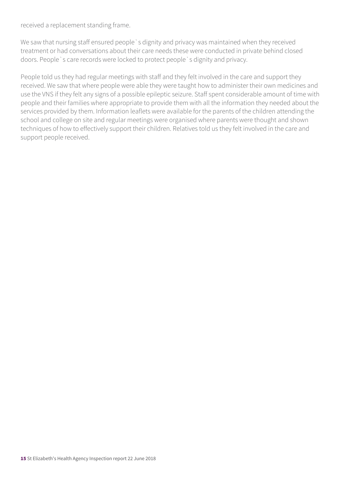received a replacement standing frame.

We saw that nursing staff ensured people `s dignity and privacy was maintained when they received treatment or had conversations about their care needs these were conducted in private behind closed doors. People`s care records were locked to protect people`s dignity and privacy.

People told us they had regular meetings with staff and they felt involved in the care and support they received. We saw that where people were able they were taught how to administer their own medicines and use the VNS if they felt any signs of a possible epileptic seizure. Staff spent considerable amount of time with people and their families where appropriate to provide them with all the information they needed about the services provided by them. Information leaflets were available for the parents of the children attending the school and college on site and regular meetings were organised where parents were thought and shown techniques of how to effectively support their children. Relatives told us they felt involved in the care and support people received.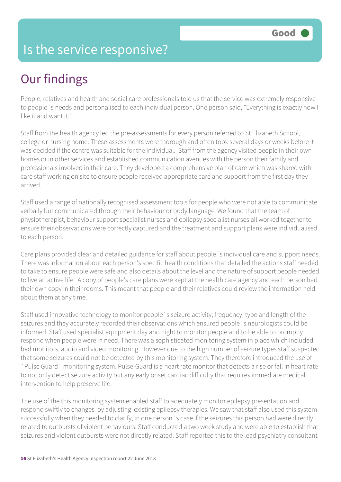### Is the service responsive?

## Our findings

People, relatives and health and social care professionals told us that the service was extremely responsive to people`s needs and personalised to each individual person. One person said, "Everything is exactly how I like it and want it."

Staff from the health agency led the pre-assessments for every person referred to St Elizabeth School, college or nursing home. These assessments were thorough and often took several days or weeks before it was decided if the centre was suitable for the individual. Staff from the agency visited people in their own homes or in other services and established communication avenues with the person their family and professionals involved in their care. They developed a comprehensive plan of care which was shared with care staff working on site to ensure people received appropriate care and support from the first day they arrived.

Staff used a range of nationally recognised assessment tools for people who were not able to communicate verbally but communicated through their behaviour or body language. We found that the team of physiotherapist, behaviour support specialist nurses and epilepsy specialist nurses all worked together to ensure their observations were correctly captured and the treatment and support plans were individualised to each person.

Care plans provided clear and detailed guidance for staff about people`s individual care and support needs. There was information about each person's specific health conditions that detailed the actions staff needed to take to ensure people were safe and also details about the level and the nature of support people needed to live an active life. A copy of people's care plans were kept at the health care agency and each person had their own copy in their rooms. This meant that people and their relatives could review the information held about them at any time.

Staff used innovative technology to monitor people`s seizure activity, frequency, type and length of the seizures and they accurately recorded their observations which ensured people`s neurologists could be informed. Staff used specialist equipment day and night to monitor people and to be able to promptly respond when people were in need. There was a sophisticated monitoring system in place which included bed monitors, audio and video monitoring. However due to the high number of seizure types staff suspected that some seizures could not be detected by this monitoring system. They therefore introduced the use of `Pulse Guard` monitoring system. Pulse-Guard is a heart rate monitor that detects a rise or fall in heart rate to not only detect seizure activity but any early onset cardiac difficulty that requires immediate medical intervention to help preserve life.

The use of the this monitoring system enabled staff to adequately monitor epilepsy presentation and respond swiftly to changes by adjusting existing epilepsy therapies. We saw that staff also used this system successfully when they needed to clarify, in one person`s case if the seizures this person had were directly related to outbursts of violent behaviours. Staff conducted a two week study and were able to establish that seizures and violent outbursts were not directly related. Staff reported this to the lead psychiatry consultant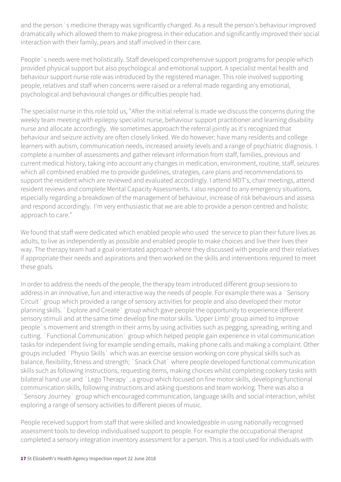and the person`s medicine therapy was significantly changed. As a result the person's behaviour improved dramatically which allowed them to make progress in their education and significantly improved their social interaction with their family, pears and staff involved in their care.

People`s needs were met holistically. Staff developed comprehensive support programs for people which provided physical support but also psychological and emotional support. A specialist mental health and behaviour support nurse role was introduced by the registered manager. This role involved supporting people, relatives and staff when concerns were raised or a referral made regarding any emotional, psychological and behavioural changes or difficulties people had.

The specialist nurse in this role told us, "After the initial referral is made we discuss the concerns during the weekly team meeting with epilepsy specialist nurse, behaviour support practitioner and learning disability nurse and allocate accordingly. We sometimes approach the referral jointly as it's recognized that behaviour and seizure activity are often closely linked. We do however; have many residents and college learners with autism, communication needs, increased anxiety levels and a range of psychiatric diagnosis. I complete a number of assessments and gather relevant information from staff, families, previous and current medical history, taking into account any changes in medication, environment, routine, staff, seizures which all combined enabled me to provide guidelines, strategies, care plans and recommendations to support the resident which are reviewed and evaluated accordingly. I attend MDT's, chair meetings, attend resident reviews and complete Mental Capacity Assessments. I also respond to any emergency situations, especially regarding a breakdown of the management of behaviour, increase of risk behaviours and assess and respond accordingly. I'm very enthusiastic that we are able to provide a person centred and holistic approach to care."

We found that staff were dedicated which enabled people who used the service to plan their future lives as adults, to live as independently as possible and enabled people to make choices and live their lives their way. The therapy team had a goal orientated approach where they discussed with people and their relatives if appropriate their needs and aspirations and then worked on the skills and interventions required to meet these goals.

In order to address the needs of the people, the therapy team introduced different group sessions to address in an innovative, fun and interactive way the needs of people. For example there was a `Sensory Circuit` group which provided a range of sensory activities for people and also developed their motor planning skills. `Explore and Create` group which gave people the opportunity to experience different sensory stimuli and at the same time develop fine motor skills. 'Upper Limb' group aimed to improve people`s movement and strength in their arms by using activities such as pegging, spreading, writing and cutting. `Functional Communication` group which helped people gain experience in vital communication tasks for independent living for example sending emails, making phone calls and making a complaint. Other groups included `Physio Skills` which was an exercise session working on core physical skills such as balance, flexibility, fitness and strength; `Snack Chat` where people developed functional communication skills such as following instructions, requesting items, making choices whilst completing cookery tasks with bilateral hand use and `Lego Therapy`, a group which focused on fine motor skills, developing functional communication skills, following instructions and asking questions and team working. There was also a `Sensory Journey` group which encouraged communication, language skills and social interaction, whilst exploring a range of sensory activities to different pieces of music.

People received support from staff that were skilled and knowledgeable in using nationally recognised assessment tools to develop individualised support to people. For example the occupational therapist completed a sensory integration inventory assessment for a person. This is a tool used for individuals with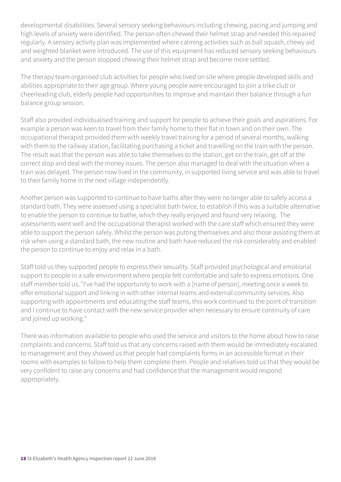developmental disabilities. Several sensory seeking behaviours including chewing, pacing and jumping and high levels of anxiety were identified. The person often chewed their helmet strap and needed this repaired regularly. A sensory activity plan was implemented where calming activities such as ball squash, chewy aid and weighted blanket were introduced. The use of this equipment has reduced sensory seeking behaviours and anxiety and the person stopped chewing their helmet strap and become more settled.

The therapy team organised club activities for people who lived on site where people developed skills and abilities appropriate to their age group. Where young people were encouraged to join a trike club or cheerleading club, elderly people had opportunities to improve and maintain their balance through a fun balance group session.

Staff also provided individualised training and support for people to achieve their goals and aspirations. For example a person was keen to travel from their family home to their flat in town and on their own. The occupational therapist provided them with weekly travel training for a period of several months, walking with them to the railway station, facilitating purchasing a ticket and travelling on the train with the person. The result was that the person was able to take themselves to the station, get on the train, get off at the correct stop and deal with the money issues. The person also managed to deal with the situation when a train was delayed. The person now lived in the community, in supported living service and was able to travel to their family home in the next village independently.

Another person was supported to continue to have baths after they were no longer able to safely access a standard bath. They were assessed using a specialist bath twice, to establish if this was a suitable alternative to enable the person to continue to bathe, which they really enjoyed and found very relaxing. The assessments went well and the occupational therapist worked with the care staff which ensured they were able to support the person safely. Whilst the person was putting themselves and also those assisting them at risk when using a standard bath, the new routine and bath have reduced the risk considerably and enabled the person to continue to enjoy and relax in a bath.

Staff told us they supported people to express their sexuality. Staff provided psychological and emotional support to people in a safe environment where people felt comfortable and safe to express emotions. One staff member told us, "I've had the opportunity to work with a [name of person], meeting once a week to offer emotional support and linking in with other internal teams and external community services. Also supporting with appointments and educating the staff teams, this work continued to the point of transition and I continue to have contact with the new service provider when necessary to ensure continuity of care and joined up working."

There was information available to people who used the service and visitors to the home about how to raise complaints and concerns. Staff told us that any concerns raised with them would be immediately escalated to management and they showed us that people had complaints forms in an accessible format in their rooms with examples to follow to help them complete them. People and relatives told us that they would be very confident to raise any concerns and had confidence that the management would respond appropriately.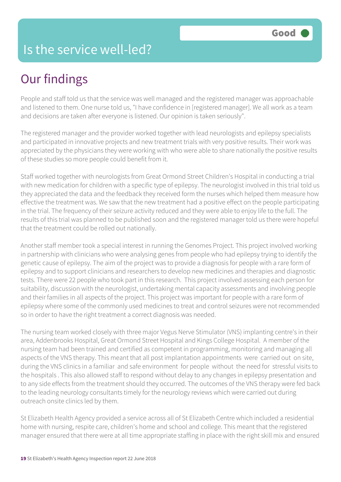### Is the service well-led?

## Our findings

People and staff told us that the service was well managed and the registered manager was approachable and listened to them. One nurse told us, "I have confidence in [registered manager]. We all work as a team and decisions are taken after everyone is listened. Our opinion is taken seriously".

The registered manager and the provider worked together with lead neurologists and epilepsy specialists and participated in innovative projects and new treatment trials with very positive results. Their work was appreciated by the physicians they were working with who were able to share nationally the positive results of these studies so more people could benefit from it.

Staff worked together with neurologists from Great Ormond Street Children's Hospital in conducting a trial with new medication for children with a specific type of epilepsy. The neurologist involved in this trial told us they appreciated the data and the feedback they received form the nurses which helped them measure how effective the treatment was. We saw that the new treatment had a positive effect on the people participating in the trial. The frequency of their seizure activity reduced and they were able to enjoy life to the full. The results of this trial was planned to be published soon and the registered manager told us there were hopeful that the treatment could be rolled out nationally.

Another staff member took a special interest in running the Genomes Project. This project involved working in partnership with clinicians who were analysing genes from people who had epilepsy trying to identify the genetic cause of epilepsy. The aim of the project was to provide a diagnosis for people with a rare form of epilepsy and to support clinicians and researchers to develop new medicines and therapies and diagnostic tests. There were 22 people who took part in this research. This project involved assessing each person for suitability, discussion with the neurologist, undertaking mental capacity assessments and involving people and their families in all aspects of the project. This project was important for people with a rare form of epilepsy where some of the commonly used medicines to treat and control seizures were not recommended so in order to have the right treatment a correct diagnosis was needed.

The nursing team worked closely with three major Vegus Nerve Stimulator (VNS) implanting centre's in their area, Addenbrooks Hospital, Great Ormond Street Hospital and Kings College Hospital. A member of the nursing team had been trained and certified as competent in programming, monitoring and managing all aspects of the VNS therapy. This meant that all post implantation appointments were carried out on site, during the VNS clinics in a familiar and safe environment for people without the need for stressful visits to the hospitals . This also allowed staff to respond without delay to any changes in epilepsy presentation and to any side effects from the treatment should they occurred. The outcomes of the VNS therapy were fed back to the leading neurology consultants timely for the neurology reviews which were carried out during outreach onsite clinics led by them.

St Elizabeth Health Agency provided a service across all of St Elizabeth Centre which included a residential home with nursing, respite care, children's home and school and college. This meant that the registered manager ensured that there were at all time appropriate staffing in place with the right skill mix and ensured